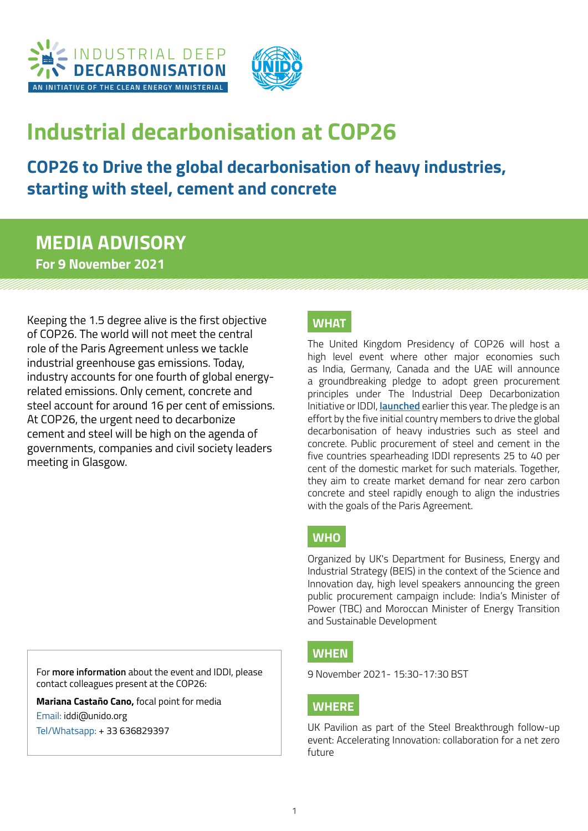



# **Industrial decarbonisation at COP26**

# **COP26 to Drive the global decarbonisation of heavy industries, starting with steel, cement and concrete**

### **MEDIA ADVISORY For 9 November 2021**

Keeping the 1.5 degree alive is the first objective of COP26. The world will not meet the central role of the Paris Agreement unless we tackle industrial greenhouse gas emissions. Today, industry accounts for one fourth of global energyrelated emissions. Only cement, concrete and steel account for around 16 per cent of emissions. At COP26, the urgent need to decarbonize cement and steel will be high on the agenda of governments, companies and civil society leaders meeting in Glasgow.

#### **WHAT**

The United Kingdom Presidency of COP26 will host a high level event where other major economies such as India, Germany, Canada and the UAE will announce a groundbreaking pledge to adopt green procurement principles under The Industrial Deep Decarbonization Initiative or IDDI, **[launched](https://www.cleanenergyministerial.org/news-clean-energy-ministerial/press-release-launch-industrial-deep-decarbonisation-initiative-iddi)** earlier this year. The pledge is an effort by the five initial country members to drive the global decarbonisation of heavy industries such as steel and concrete. Public procurement of steel and cement in the five countries spearheading IDDI represents 25 to 40 per cent of the domestic market for such materials. Together, they aim to create market demand for near zero carbon concrete and steel rapidly enough to align the industries with the goals of the Paris Agreement.

#### **WHO**

Organized by UK's Department for Business, Energy and Industrial Strategy (BEIS) in the context of the Science and Innovation day, high level speakers announcing the green public procurement campaign include: India's Minister of Power (TBC) and Moroccan Minister of Energy Transition and Sustainable Development

#### **WHEN**

9 November 2021- 15:30-17:30 BST

#### **WHERE**

UK Pavilion as part of the Steel Breakthrough follow-up event: Accelerating Innovation: collaboration for a net zero future

For **more information** about the event and IDDI, please contact colleagues present at the COP26:

**Mariana Castaño Cano,** focal point for media Email: [iddi@unido.org](mailto:iddi@unido.org)  Tel/Whatsapp: + 33 636829397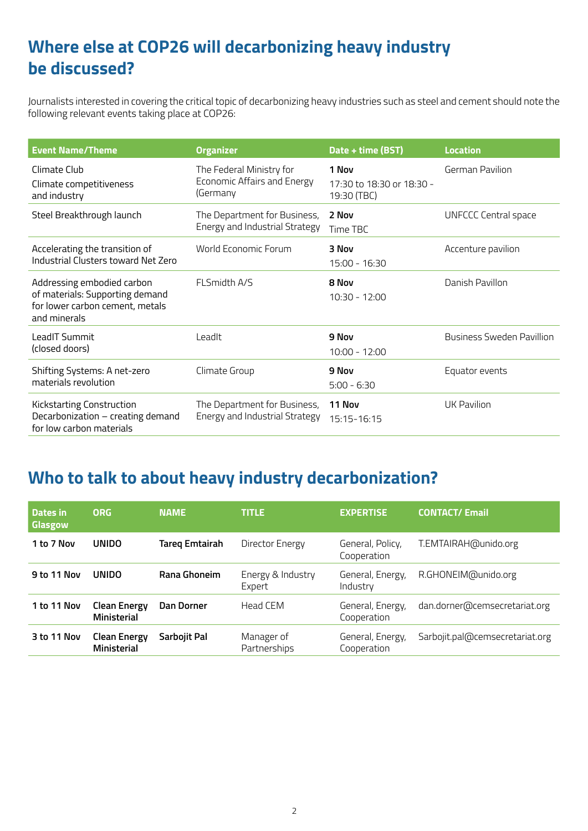# **Where else at COP26 will decarbonizing heavy industry be discussed?**

Journalists interested in covering the critical topic of decarbonizing heavy industries such as steel and cement should note the following relevant events taking place at COP26:

| <b>Event Name/Theme</b>                                                                                          | <b>Organizer</b>                                                    | Date + time (BST)                                 | <b>Location</b>             |
|------------------------------------------------------------------------------------------------------------------|---------------------------------------------------------------------|---------------------------------------------------|-----------------------------|
| Climate Club<br>Climate competitiveness<br>and industry                                                          | The Federal Ministry for<br>Economic Affairs and Energy<br>(Germany | 1 Nov<br>17:30 to 18:30 or 18:30 -<br>19:30 (TBC) | German Pavilion             |
| Steel Breakthrough launch                                                                                        | The Department for Business,<br>Energy and Industrial Strategy      | 2 Nov<br>Time TBC                                 | <b>UNFCCC Central space</b> |
| Accelerating the transition of<br>Industrial Clusters toward Net Zero                                            | World Economic Forum                                                | 3 Nov<br>15:00 - 16:30                            | Accenture pavilion          |
| Addressing embodied carbon<br>of materials: Supporting demand<br>for lower carbon cement, metals<br>and minerals | FLSmidth A/S                                                        | 8 Nov<br>$10:30 - 12:00$                          | Danish Pavillon             |
| LeadIT Summit<br>(closed doors)                                                                                  | Leadlt                                                              | 9 Nov<br>$10:00 - 12:00$                          | Business Sweden Pavillion   |
| Shifting Systems: A net-zero<br>materials revolution                                                             | Climate Group                                                       | 9 Nov<br>$5:00 - 6:30$                            | Equator events              |
| <b>Kickstarting Construction</b><br>Decarbonization - creating demand<br>for low carbon materials                | The Department for Business,<br>Energy and Industrial Strategy      | 11 Nov<br>15:15-16:15                             | <b>UK Pavilion</b>          |

### **Who to talk to about heavy industry decarbonization?**

| Dates in<br>Glasgow | <b>ORG</b>                                | <b>NAME</b>       | <b>TITLE</b>                | <b>EXPERTISE</b>                | <b>CONTACT/ Email</b>           |
|---------------------|-------------------------------------------|-------------------|-----------------------------|---------------------------------|---------------------------------|
| 1 to 7 Nov          | <b>UNIDO</b>                              | Tareg Emtairah    | Director Energy             | General, Policy,<br>Cooperation | T.EMTAIRAH@unido.org            |
| 9 to 11 Nov         | <b>UNIDO</b>                              | Rana Ghoneim      | Energy & Industry<br>Expert | General, Energy,<br>Industry    | R.GHONEIM@unido.org             |
| 1 to 11 Nov         | <b>Clean Energy</b><br><b>Ministerial</b> | <b>Dan Dorner</b> | Head CFM                    | General, Energy,<br>Cooperation | dan.dorner@cemsecretariat.org   |
| 3 to 11 Nov         | <b>Clean Energy</b><br><b>Ministerial</b> | Sarbojit Pal      | Manager of<br>Partnerships  | General, Energy,<br>Cooperation | Sarbojit.pal@cemsecretariat.org |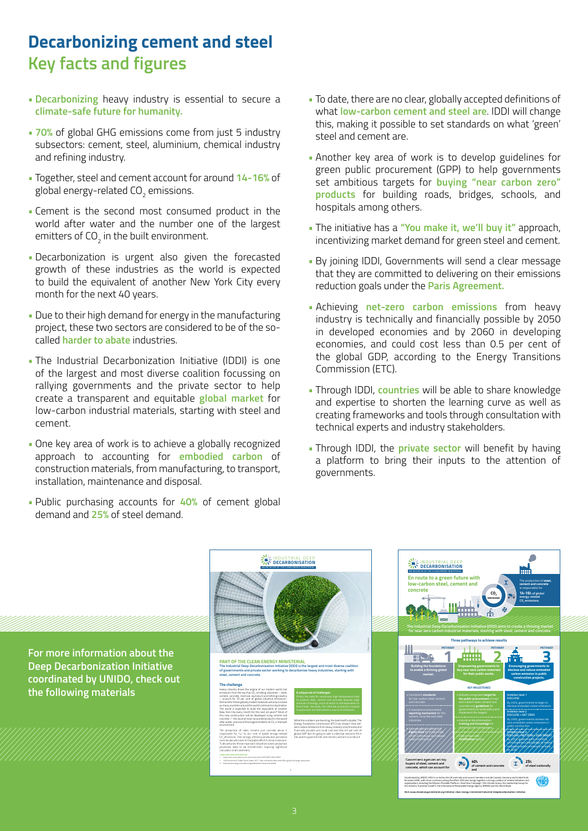## **Decarbonizing cement and steel Key facts and figures**

- **Decarbonizing** heavy industry is essential to secure a **climate-safe future for humanity.**
- **70%** of global GHG emissions come from just 5 industry subsectors: cement, steel, aluminium, chemical industry and refining industry.
- Together, steel and cement account for around **14-16%** of global energy-related CO $_{\rm 2}$  emissions.
- Cement is the second most consumed product in the world after water and the number one of the largest emitters of CO $_{\rm 2}$  in the built environment.
- Decarbonization is urgent also given the forecasted growth of these industries as the world is expected to build the equivalent of another New York City every month for the next 40 years.
- Due to their high demand for energy in the manufacturing project, these two sectors are considered to be of the socalled **harder to abate** industries.
- The Industrial Decarbonization Initiative (IDDI) is one of the largest and most diverse coalition focussing on rallying governments and the private sector to help create a transparent and equitable **global market** for low-carbon industrial materials, starting with steel and cement.
- One key area of work is to achieve a globally recognized approach to accounting for **embodied carbon** of construction materials, from manufacturing, to transport, installation, maintenance and disposal.
- Public purchasing accounts for **40%** of cement global demand and **25%** of steel demand.
- To date, there are no clear, globally accepted definitions of what **low-carbon cement and steel are**. IDDI will change this, making it possible to set standards on what 'green' steel and cement are.
- Another key area of work is to develop guidelines for green public procurement (GPP) to help governments set ambitious targets for **buying "near carbon zero" products** for building roads, bridges, schools, and hospitals among others.
- The initiative has a **"You make it, we'll buy it"** approach, incentivizing market demand for green steel and cement.
- By joining IDDI, Governments will send a clear message that they are committed to delivering on their emissions reduction goals under the **Paris Agreement.**
- Achieving **net-zero carbon emissions** from heavy industry is technically and financially possible by 2050 in developed economies and by 2060 in developing economies, and could cost less than 0.5 per cent of the global GDP, according to the Energy Transitions Commission (ETC).
- Through IDDI, **countries** will be able to share knowledge and expertise to shorten the learning curve as well as creating frameworks and tools through consultation with technical experts and industry stakeholders.
- Through IDDI, the **private sector** will benefit by having a platform to bring their inputs to the attention of governments.

**En route to a green future with** 

The production of **steel, cement and concrete**  is responsible for **14-16% of global energy-related CO2 emissions.**

**25% of steel nationally**

I N D U S T R I A L D E E P **DECARBONISATION AN INITIATIVE OF THE CLEAN ENERGY MINISTERIAL**



I N D U S T R I A L D E E P **DECARBONISATION AN INITIATIVE OF THE CLEAN ENERGY MINISTERIAL**